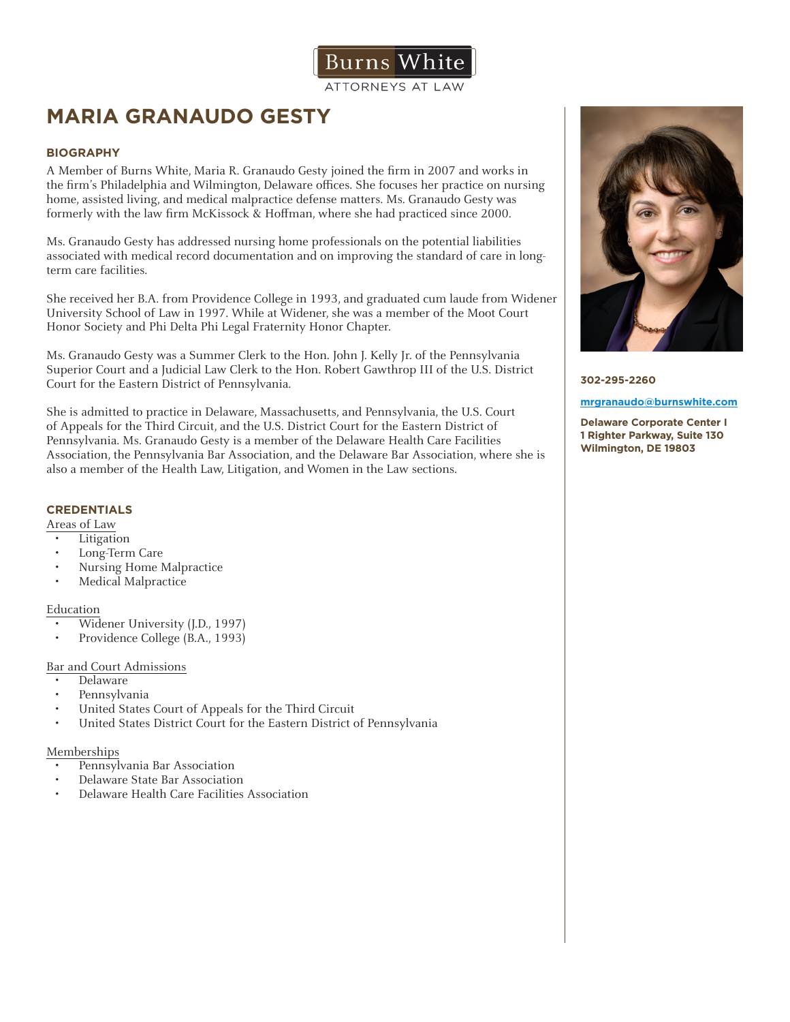

ATTORNEYS AT LAW

# **MARIA GRANAUDO GESTY**

# **BIOGRAPHY**

A Member of Burns White, Maria R. Granaudo Gesty joined the firm in 2007 and works in the firm's Philadelphia and Wilmington, Delaware offices. She focuses her practice on nursing home, assisted living, and medical malpractice defense matters. Ms. Granaudo Gesty was formerly with the law firm McKissock & Hoffman, where she had practiced since 2000.

Ms. Granaudo Gesty has addressed nursing home professionals on the potential liabilities associated with medical record documentation and on improving the standard of care in longterm care facilities.

She received her B.A. from Providence College in 1993, and graduated cum laude from Widener University School of Law in 1997. While at Widener, she was a member of the Moot Court Honor Society and Phi Delta Phi Legal Fraternity Honor Chapter.

Ms. Granaudo Gesty was a Summer Clerk to the Hon. John J. Kelly Jr. of the Pennsylvania Superior Court and a Judicial Law Clerk to the Hon. Robert Gawthrop III of the U.S. District Court for the Eastern District of Pennsylvania.

She is admitted to practice in Delaware, Massachusetts, and Pennsylvania, the U.S. Court of Appeals for the Third Circuit, and the U.S. District Court for the Eastern District of Pennsylvania. Ms. Granaudo Gesty is a member of the Delaware Health Care Facilities Association, the Pennsylvania Bar Association, and the Delaware Bar Association, where she is also a member of the Health Law, Litigation, and Women in the Law sections.

## **CREDENTIALS**

Areas of Law

- Litigation
- Long-Term Care
- Nursing Home Malpractice
- Medical Malpractice

## Education

- Widener University (J.D., 1997)
- Providence College (B.A., 1993)

## Bar and Court Admissions

- Delaware
- Pennsylvania
- United States Court of Appeals for the Third Circuit<br>• United States District Court for the Eastern District of
- United States District Court for the Eastern District of Pennsylvania

#### Memberships

- Pennsylvania Bar Association
- Delaware State Bar Association
- Delaware Health Care Facilities Association



**302-295-2260** 

#### **mrgranaudo@burnswhite.com**

**Delaware Corporate Center I 1 Righter Parkway, Suite 130 Wilmington, DE 19803**